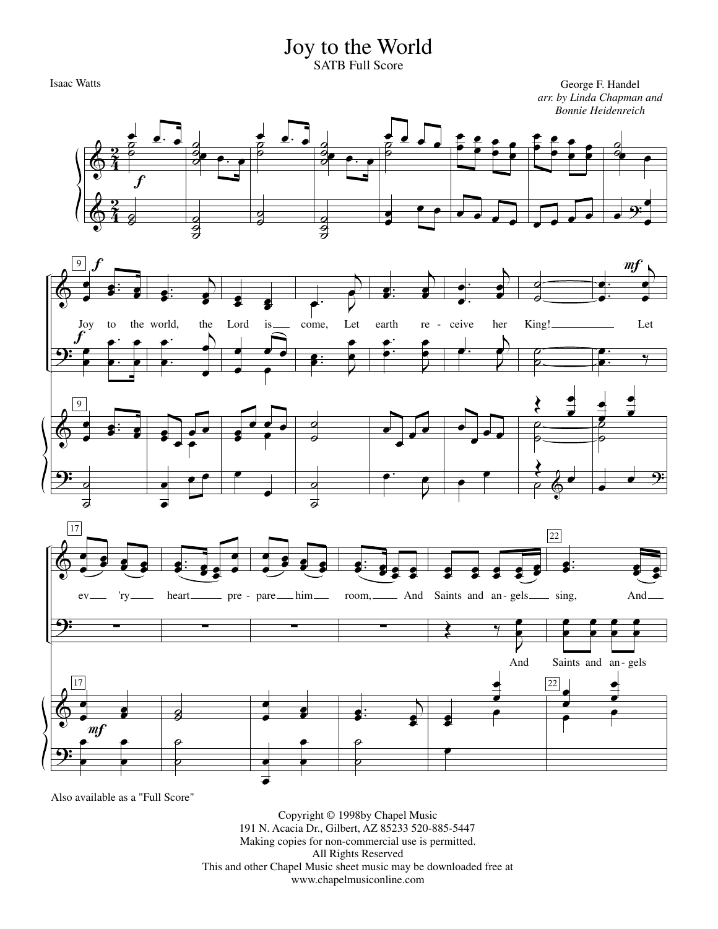## Joy to the World

SATB Full Score

Isaac Watts George F. Handel *arr. by Linda Chapman and Bonnie Heidenreich*







Also available as a "Full Score"

Copyright © 1998by Chapel Music 191 N. Acacia Dr., Gilbert, AZ 85233 520-885-5447 Making copies for non-commercial use is permitted. All Rights Reserved This and other Chapel Music sheet music may be downloaded free at www.chapelmusiconline.com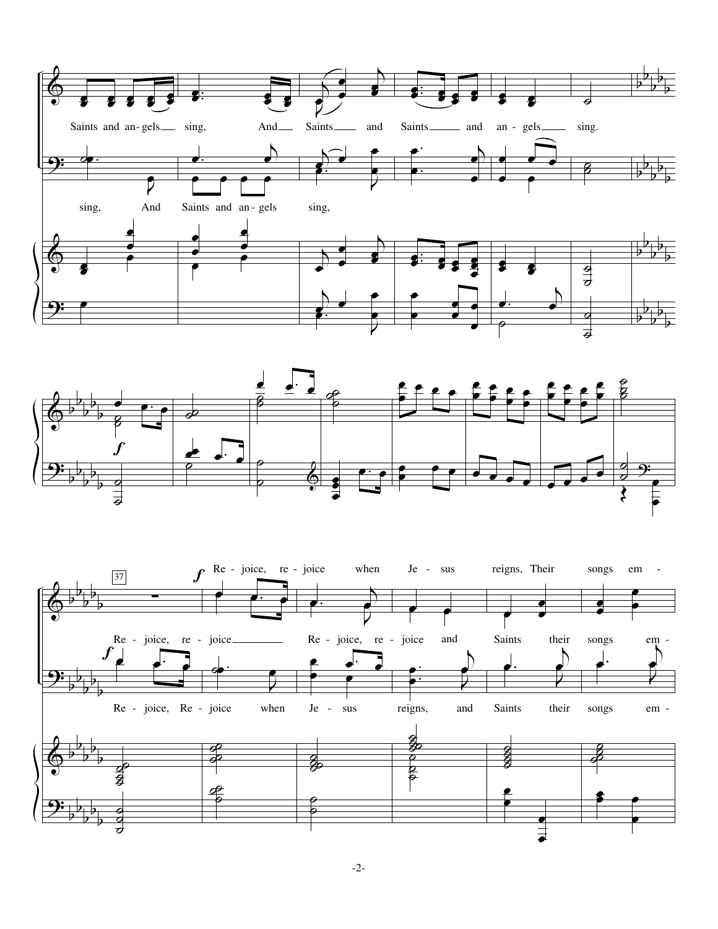



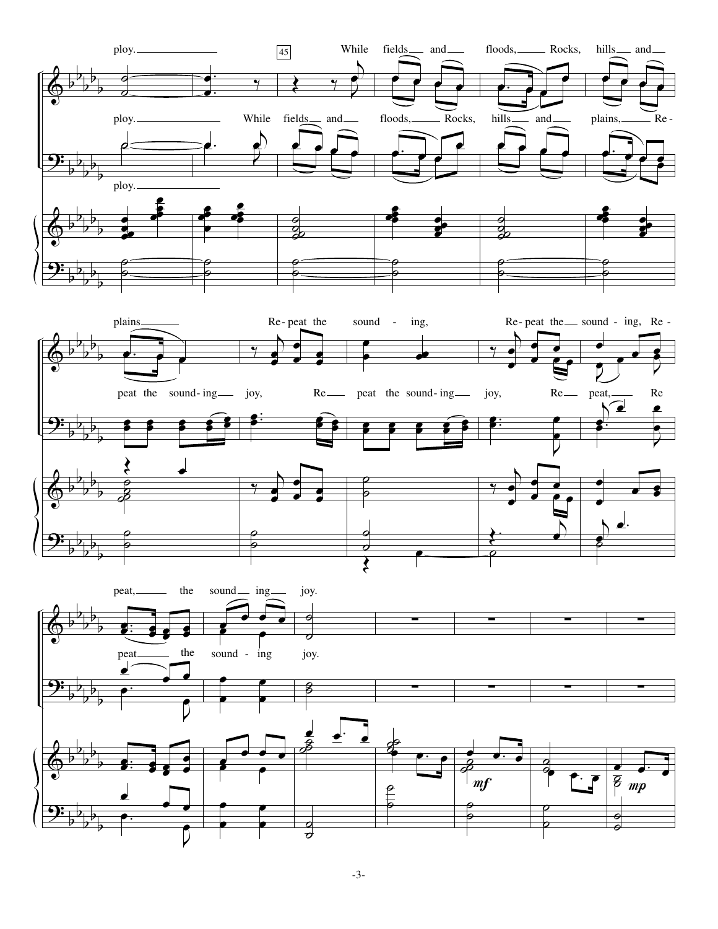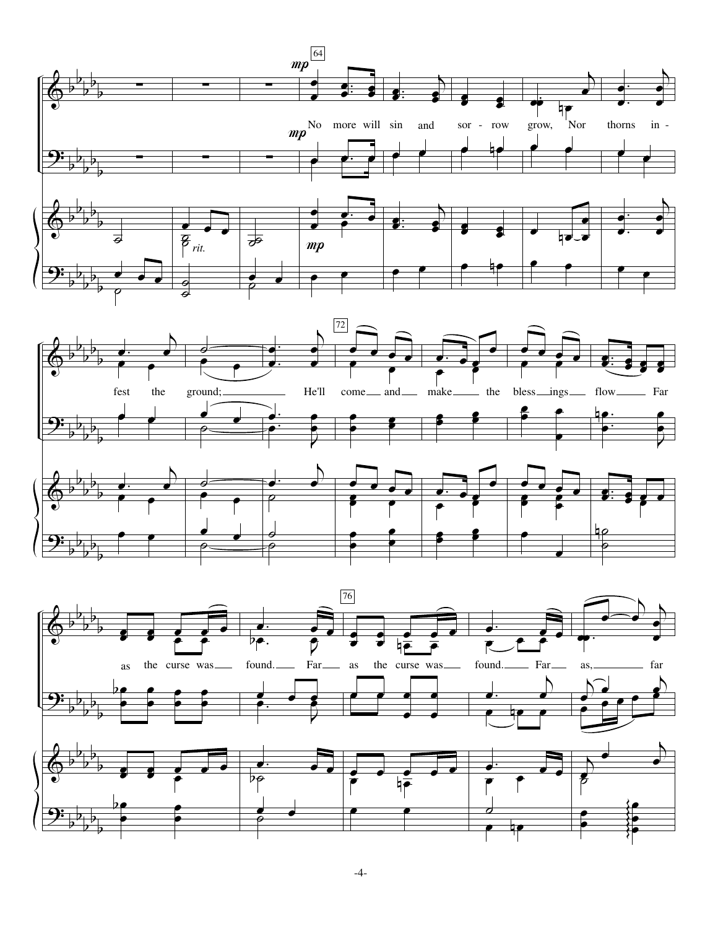





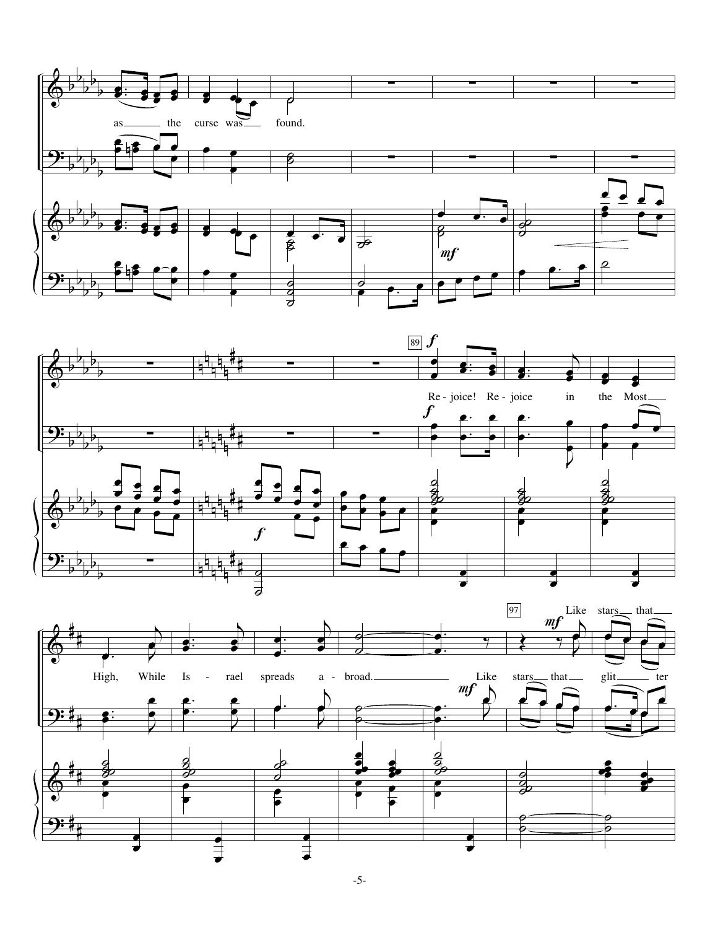